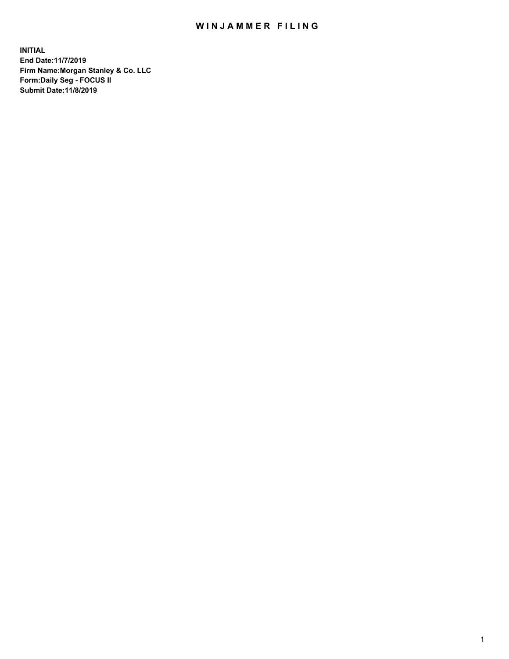## WIN JAMMER FILING

**INITIAL End Date:11/7/2019 Firm Name:Morgan Stanley & Co. LLC Form:Daily Seg - FOCUS II Submit Date:11/8/2019**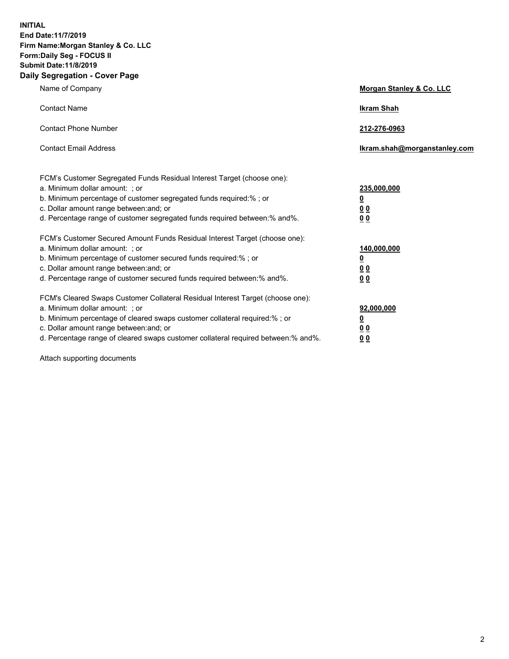**INITIAL End Date:11/7/2019 Firm Name:Morgan Stanley & Co. LLC Form:Daily Seg - FOCUS II Submit Date:11/8/2019 Daily Segregation - Cover Page**

| Name of Company                                                                                                                                                                                                                                                                                                                | Morgan Stanley & Co. LLC                               |
|--------------------------------------------------------------------------------------------------------------------------------------------------------------------------------------------------------------------------------------------------------------------------------------------------------------------------------|--------------------------------------------------------|
| <b>Contact Name</b>                                                                                                                                                                                                                                                                                                            | <b>Ikram Shah</b>                                      |
| <b>Contact Phone Number</b>                                                                                                                                                                                                                                                                                                    | 212-276-0963                                           |
| <b>Contact Email Address</b>                                                                                                                                                                                                                                                                                                   | lkram.shah@morganstanley.com                           |
| FCM's Customer Segregated Funds Residual Interest Target (choose one):<br>a. Minimum dollar amount: ; or<br>b. Minimum percentage of customer segregated funds required:% ; or<br>c. Dollar amount range between: and; or<br>d. Percentage range of customer segregated funds required between:% and%.                         | 235,000,000<br><u>0</u><br><u>0 0</u><br>0 Q           |
| FCM's Customer Secured Amount Funds Residual Interest Target (choose one):<br>a. Minimum dollar amount: ; or<br>b. Minimum percentage of customer secured funds required:%; or<br>c. Dollar amount range between: and; or<br>d. Percentage range of customer secured funds required between:% and%.                            | 140,000,000<br><u>0</u><br><u>00</u><br>0 <sub>0</sub> |
| FCM's Cleared Swaps Customer Collateral Residual Interest Target (choose one):<br>a. Minimum dollar amount: ; or<br>b. Minimum percentage of cleared swaps customer collateral required:% ; or<br>c. Dollar amount range between: and; or<br>d. Percentage range of cleared swaps customer collateral required between:% and%. | 92,000,000<br><u>0</u><br><u>00</u><br>0 <sup>0</sup>  |

Attach supporting documents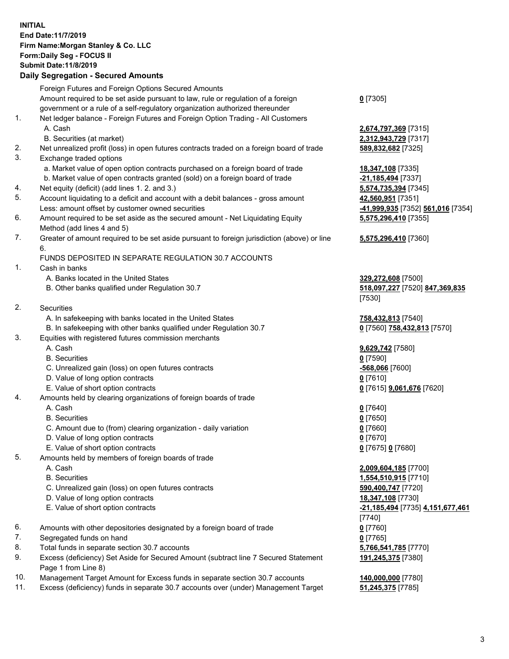### **INITIAL End Date:11/7/2019 Firm Name:Morgan Stanley & Co. LLC Form:Daily Seg - FOCUS II Submit Date:11/8/2019 Daily Segregation - Secured Amounts**

# Foreign Futures and Foreign Options Secured Amounts Amount required to be set aside pursuant to law, rule or regulation of a foreign government or a rule of a self-regulatory organization authorized thereunder 1. Net ledger balance - Foreign Futures and Foreign Option Trading - All Customers A. Cash **2,674,797,369** [7315] B. Securities (at market) **2,312,943,729** [7317] 2. Net unrealized profit (loss) in open futures contracts traded on a foreign board of trade **589,832,682** [7325]

- 3. Exchange traded options
	- a. Market value of open option contracts purchased on a foreign board of trade **18,347,108** [7335]
	- b. Market value of open contracts granted (sold) on a foreign board of trade **-21,185,494** [7337]
- 4. Net equity (deficit) (add lines 1. 2. and 3.) **5,574,735,394** [7345]
- 5. Account liquidating to a deficit and account with a debit balances gross amount **42,560,951** [7351] Less: amount offset by customer owned securities **-41,999,935** [7352] **561,016** [7354]
- 6. Amount required to be set aside as the secured amount Net Liquidating Equity Method (add lines 4 and 5)
- 7. Greater of amount required to be set aside pursuant to foreign jurisdiction (above) or line 6.

## FUNDS DEPOSITED IN SEPARATE REGULATION 30.7 ACCOUNTS

1. Cash in banks

- A. Banks located in the United States **329,272,608** [7500]
- B. Other banks qualified under Regulation 30.7 **518,097,227** [7520] **847,369,835**
- 2. Securities
	- A. In safekeeping with banks located in the United States **758,432,813** [7540]
- B. In safekeeping with other banks qualified under Regulation 30.7 **0** [7560] **758,432,813** [7570]
- 3. Equities with registered futures commission merchants
	-
	- B. Securities **0** [7590]
	- C. Unrealized gain (loss) on open futures contracts **-568,066** [7600]
	- D. Value of long option contracts **0** [7610]
	- E. Value of short option contracts **0** [7615] **9,061,676** [7620]
- 4. Amounts held by clearing organizations of foreign boards of trade

#### A. Cash **0** [7640]

- B. Securities **0** [7650]
- C. Amount due to (from) clearing organization daily variation **0** [7660]
- D. Value of long option contracts **0** [7670]
- E. Value of short option contracts **0** [7675] **0** [7680]
- 5. Amounts held by members of foreign boards of trade
	-
	-
	- C. Unrealized gain (loss) on open futures contracts **590,400,747** [7720]
	- D. Value of long option contracts **18,347,108** [7730]
	-
- 6. Amounts with other depositories designated by a foreign board of trade **0** [7760]
- 7. Segregated funds on hand **0** [7765]
- 8. Total funds in separate section 30.7 accounts **5,766,541,785** [7770]
- 9. Excess (deficiency) Set Aside for Secured Amount (subtract line 7 Secured Statement Page 1 from Line 8)
- 10. Management Target Amount for Excess funds in separate section 30.7 accounts **140,000,000** [7780]
- 11. Excess (deficiency) funds in separate 30.7 accounts over (under) Management Target **51,245,375** [7785]

**0** [7305]

**5,575,296,410** [7355]

### **5,575,296,410** [7360]

[7530]

A. Cash **9,629,742** [7580]

 A. Cash **2,009,604,185** [7700] B. Securities **1,554,510,915** [7710] E. Value of short option contracts **-21,185,494** [7735] **4,151,677,461** [7740] **191,245,375** [7380]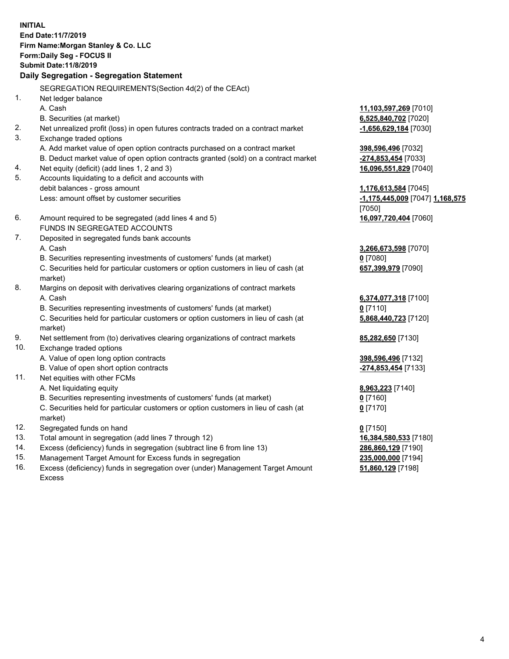**INITIAL End Date:11/7/2019 Firm Name:Morgan Stanley & Co. LLC Form:Daily Seg - FOCUS II Submit Date:11/8/2019 Daily Segregation - Segregation Statement** SEGREGATION REQUIREMENTS(Section 4d(2) of the CEAct) 1. Net ledger balance A. Cash **11,103,597,269** [7010] B. Securities (at market) **6,525,840,702** [7020] 2. Net unrealized profit (loss) in open futures contracts traded on a contract market **-1,656,629,184** [7030] 3. Exchange traded options A. Add market value of open option contracts purchased on a contract market **398,596,496** [7032] B. Deduct market value of open option contracts granted (sold) on a contract market **-274,853,454** [7033] 4. Net equity (deficit) (add lines 1, 2 and 3) **16,096,551,829** [7040] 5. Accounts liquidating to a deficit and accounts with debit balances - gross amount **1,176,613,584** [7045] Less: amount offset by customer securities **-1,175,445,009** [7047] **1,168,575** [7050] 6. Amount required to be segregated (add lines 4 and 5) **16,097,720,404** [7060] FUNDS IN SEGREGATED ACCOUNTS 7. Deposited in segregated funds bank accounts A. Cash **3,266,673,598** [7070] B. Securities representing investments of customers' funds (at market) **0** [7080] C. Securities held for particular customers or option customers in lieu of cash (at market) **657,399,979** [7090] 8. Margins on deposit with derivatives clearing organizations of contract markets A. Cash **6,374,077,318** [7100] B. Securities representing investments of customers' funds (at market) **0** [7110] C. Securities held for particular customers or option customers in lieu of cash (at market) **5,868,440,723** [7120] 9. Net settlement from (to) derivatives clearing organizations of contract markets **85,282,650** [7130] 10. Exchange traded options A. Value of open long option contracts **398,596,496** [7132] B. Value of open short option contracts **-274,853,454** [7133] 11. Net equities with other FCMs A. Net liquidating equity **8,963,223** [7140] B. Securities representing investments of customers' funds (at market) **0** [7160] C. Securities held for particular customers or option customers in lieu of cash (at market) **0** [7170] 12. Segregated funds on hand **0** [7150] 13. Total amount in segregation (add lines 7 through 12) **16,384,580,533** [7180] 14. Excess (deficiency) funds in segregation (subtract line 6 from line 13) **286,860,129** [7190]

- 15. Management Target Amount for Excess funds in segregation **235,000,000** [7194]
- 16. Excess (deficiency) funds in segregation over (under) Management Target Amount Excess

**51,860,129** [7198]